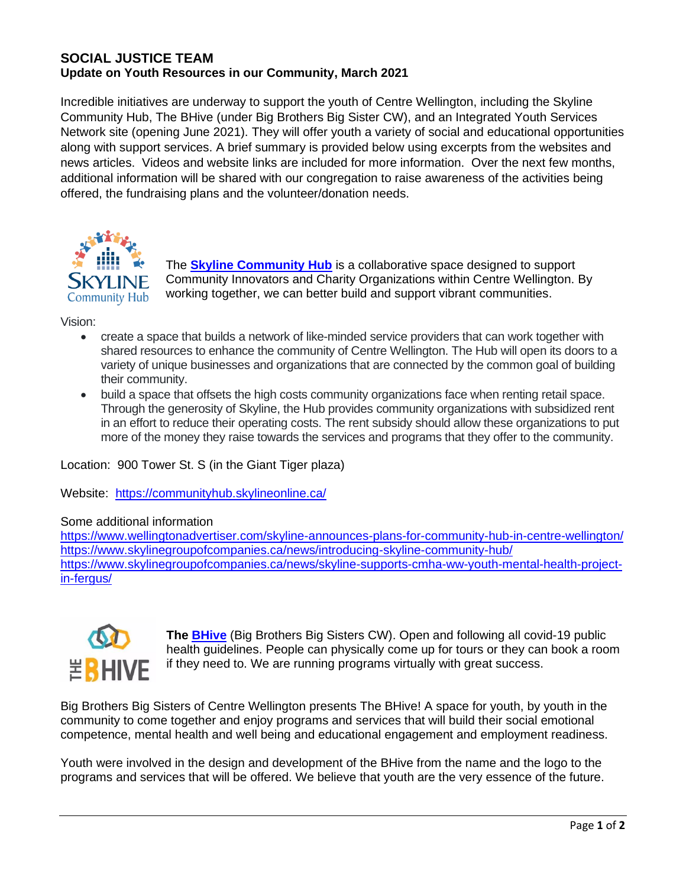## **SOCIAL JUSTICE TEAM Update on Youth Resources in our Community, March 2021**

Incredible initiatives are underway to support the youth of Centre Wellington, including the Skyline Community Hub, The BHive (under Big Brothers Big Sister CW), and an Integrated Youth Services Network site (opening June 2021). They will offer youth a variety of social and educational opportunities along with support services. A brief summary is provided below using excerpts from the websites and news articles. Videos and website links are included for more information. Over the next few months, additional information will be shared with our congregation to raise awareness of the activities being offered, the fundraising plans and the volunteer/donation needs.



The **[Skyline Community Hub](https://communityhub.skylineonline.ca/)** is a collaborative space designed to support Community Innovators and Charity Organizations within Centre Wellington. By working together, we can better build and support vibrant communities.

Vision:

- create a space that builds a network of like-minded service providers that can work together with shared resources to enhance the community of Centre Wellington. The Hub will open its doors to a variety of unique businesses and organizations that are connected by the common goal of building their community.
- build a space that offsets the high costs community organizations face when renting retail space. Through the generosity of Skyline, the Hub provides community organizations with subsidized rent in an effort to reduce their operating costs. The rent subsidy should allow these organizations to put more of the money they raise towards the services and programs that they offer to the community.

Location: 900 Tower St. S (in the Giant Tiger plaza)

Website: <https://communityhub.skylineonline.ca/>

## Some additional information

<https://www.wellingtonadvertiser.com/skyline-announces-plans-for-community-hub-in-centre-wellington/> <https://www.skylinegroupofcompanies.ca/news/introducing-skyline-community-hub/> [https://www.skylinegroupofcompanies.ca/news/skyline-supports-cmha-ww-youth-mental-health-project](https://www.skylinegroupofcompanies.ca/news/skyline-supports-cmha-ww-youth-mental-health-project-in-fergus/)[in-fergus/](https://www.skylinegroupofcompanies.ca/news/skyline-supports-cmha-ww-youth-mental-health-project-in-fergus/)



**The [BHive](https://www.thebhivecw.com/)** (Big Brothers Big Sisters CW). Open and following all covid-19 public health guidelines. People can physically come up for tours or they can book a room if they need to. We are running programs virtually with great success.

Big Brothers Big Sisters of Centre Wellington presents The BHive! A space for youth, by youth in the community to come together and enjoy programs and services that will build their social emotional competence, mental health and well being and educational engagement and employment readiness.

Youth were involved in the design and development of the BHive from the name and the logo to the programs and services that will be offered. We believe that youth are the very essence of the future.